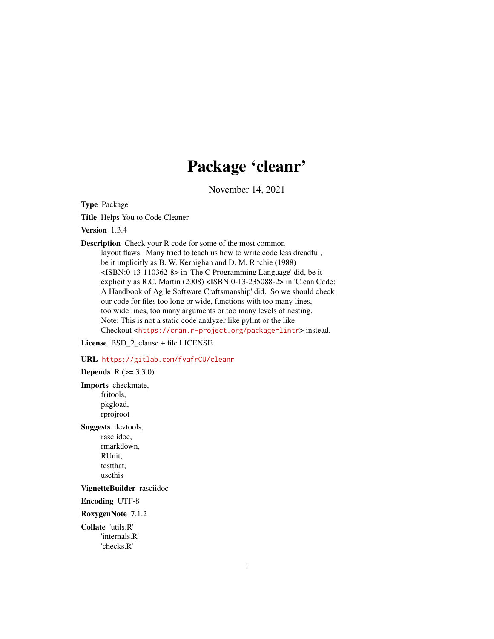# Package 'cleanr'

November 14, 2021

<span id="page-0-0"></span>Type Package

Title Helps You to Code Cleaner

Version 1.3.4

Description Check your R code for some of the most common layout flaws. Many tried to teach us how to write code less dreadful, be it implicitly as B. W. Kernighan and D. M. Ritchie (1988) <ISBN:0-13-110362-8> in 'The C Programming Language' did, be it explicitly as R.C. Martin (2008) <ISBN:0-13-235088-2> in 'Clean Code: A Handbook of Agile Software Craftsmanship' did. So we should check our code for files too long or wide, functions with too many lines, too wide lines, too many arguments or too many levels of nesting. Note: This is not a static code analyzer like pylint or the like. Checkout <<https://cran.r-project.org/package=lintr>> instead.

License BSD 2 clause + file LICENSE

URL <https://gitlab.com/fvafrCU/cleanr>

**Depends**  $R (= 3.3.0)$ Imports checkmate, fritools, pkgload, rprojroot Suggests devtools, rasciidoc, rmarkdown, RUnit, testthat, usethis VignetteBuilder rasciidoc Encoding UTF-8 RoxygenNote 7.1.2 Collate 'utils.R' 'internals.R' 'checks.R'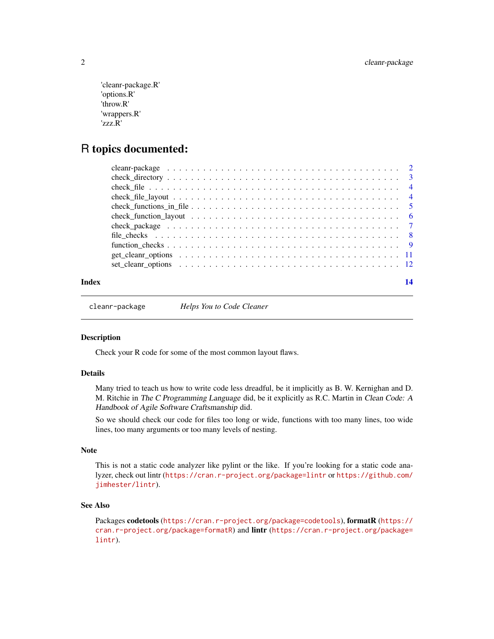```
'cleanr-package.R'
'options.R'
'throw.R'
'wrappers.R'
'zzz.R'
```
# R topics documented:

| Index | 14 |
|-------|----|
|       |    |
|       |    |
|       |    |
|       |    |
|       |    |
|       |    |
|       |    |
|       |    |
|       |    |
|       |    |
|       |    |

cleanr-package *Helps You to Code Cleaner*

### Description

Check your R code for some of the most common layout flaws.

#### Details

Many tried to teach us how to write code less dreadful, be it implicitly as B. W. Kernighan and D. M. Ritchie in The C Programming Language did, be it explicitly as R.C. Martin in Clean Code: A Handbook of Agile Software Craftsmanship did.

So we should check our code for files too long or wide, functions with too many lines, too wide lines, too many arguments or too many levels of nesting.

# Note

This is not a static code analyzer like pylint or the like. If you're looking for a static code analyzer, check out lintr (<https://cran.r-project.org/package=lintr> or [https://github.com/](https://github.com/jimhester/lintr) [jimhester/lintr](https://github.com/jimhester/lintr)).

# See Also

Packages codetools (<https://cran.r-project.org/package=codetools>), formatR ([https://](https://cran.r-project.org/package=formatR) [cran.r-project.org/package=formatR](https://cran.r-project.org/package=formatR)) and lintr ([https://cran.r-project.org/package=](https://cran.r-project.org/package=lintr) [lintr](https://cran.r-project.org/package=lintr)).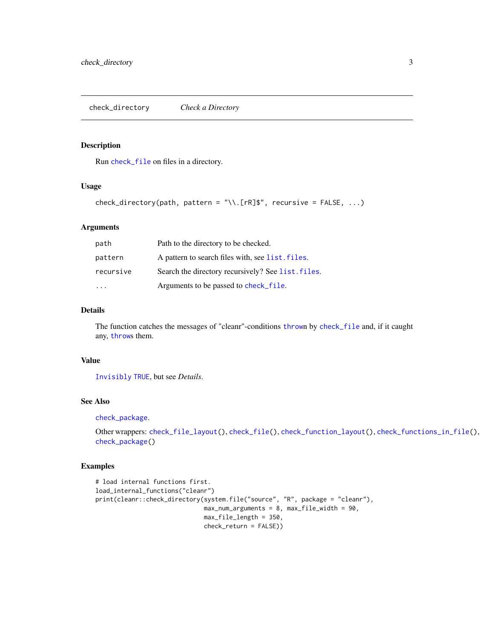<span id="page-2-1"></span><span id="page-2-0"></span>check\_directory *Check a Directory*

# Description

Run [check\\_file](#page-3-1) on files in a directory.

# Usage

```
check_directory(path, pattern = "\\.[rR]$", recursive = FALSE, ...)
```
### Arguments

| path      | Path to the directory to be checked.               |
|-----------|----------------------------------------------------|
| pattern   | A pattern to search files with, see list, files.   |
| recursive | Search the directory recursively? See list. files. |
|           | Arguments to be passed to check_file.              |

# Details

The function catches the messages of "cleanr"-conditions [throw](#page-0-0)n by [check\\_file](#page-3-1) and, if it caught any, [throw](#page-0-0)s them.

# Value

[Invisibly](#page-0-0) [TRUE](#page-0-0), but see *Details*.

#### See Also

[check\\_package](#page-6-1).

```
Other wrappers: check_file_layout(), check_file(), check_function_layout(), check_functions_in_file(),
check_package()
```
# Examples

```
# load internal functions first.
load_internal_functions("cleanr")
print(cleanr::check_directory(system.file("source", "R", package = "cleanr"),
                              max_num_arguments = 8, max_file_width = 90,
                             max_file_length = 350,
                              check_return = FALSE))
```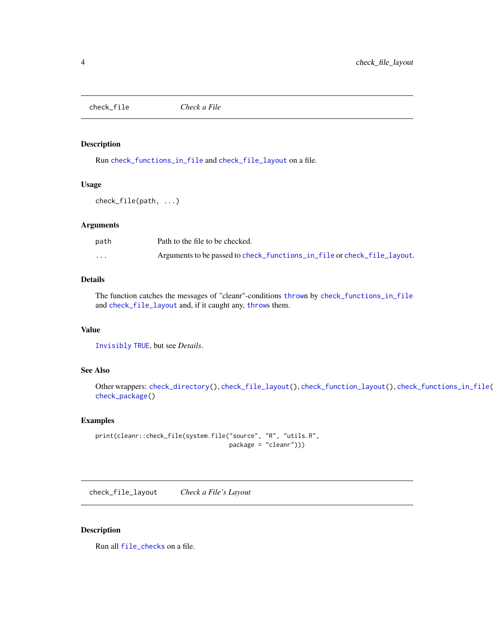<span id="page-3-1"></span><span id="page-3-0"></span>check\_file *Check a File*

# **Description**

Run [check\\_functions\\_in\\_file](#page-4-1) and [check\\_file\\_layout](#page-3-2) on a file.

#### Usage

check\_file(path, ...)

#### Arguments

| path                 | Path to the file to be checked.                                         |
|----------------------|-------------------------------------------------------------------------|
| $\ddot{\phantom{0}}$ | Arguments to be passed to check_functions_in_file or check_file_layout. |

# Details

The function catches the messages of "cleanr"-conditions [throw](#page-0-0)n by [check\\_functions\\_in\\_file](#page-4-1) and [check\\_file\\_layout](#page-3-2) and, if it caught any, [throw](#page-0-0)s them.

# Value

[Invisibly](#page-0-0) [TRUE](#page-0-0), but see *Details*.

# See Also

Other wrappers: [check\\_directory\(](#page-2-1)), [check\\_file\\_layout\(](#page-3-2)), [check\\_function\\_layout\(](#page-5-1)), [check\\_functions\\_in\\_file\(](#page-4-1)), [check\\_package\(](#page-6-1))

#### Examples

```
print(cleanr::check_file(system.file("source", "R", "utils.R",
                                     package = "cleanr")))
```
<span id="page-3-2"></span>check\_file\_layout *Check a File's Layout*

#### Description

Run all [file\\_checks](#page-7-1) on a file.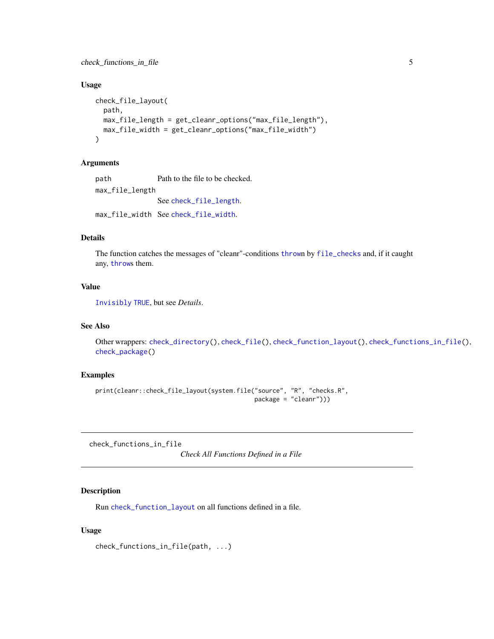<span id="page-4-0"></span>check\_functions\_in\_file 5

#### Usage

```
check_file_layout(
  path,
 max_file_length = get_cleanr_options("max_file_length"),
 max_file_width = get_cleanr_options("max_file_width")
\mathcal{L}
```
#### Arguments

path Path to the file to be checked. max\_file\_length See [check\\_file\\_length](#page-7-2). max\_file\_width See [check\\_file\\_width](#page-7-2).

#### Details

The function catches the messages of "cleanr"-conditions [throw](#page-0-0)n by [file\\_checks](#page-7-1) and, if it caught any, [throw](#page-0-0)s them.

#### Value

[Invisibly](#page-0-0) [TRUE](#page-0-0), but see *Details*.

#### See Also

Other wrappers: [check\\_directory\(](#page-2-1)), [check\\_file\(](#page-3-1)), [check\\_function\\_layout\(](#page-5-1)), [check\\_functions\\_in\\_file\(](#page-4-1)), [check\\_package\(](#page-6-1))

#### Examples

```
print(cleanr::check_file_layout(system.file("source", "R", "checks.R",
                                            package = "cleanr")))
```
<span id="page-4-1"></span>check\_functions\_in\_file

*Check All Functions Defined in a File*

#### Description

Run [check\\_function\\_layout](#page-5-1) on all functions defined in a file.

#### Usage

check\_functions\_in\_file(path, ...)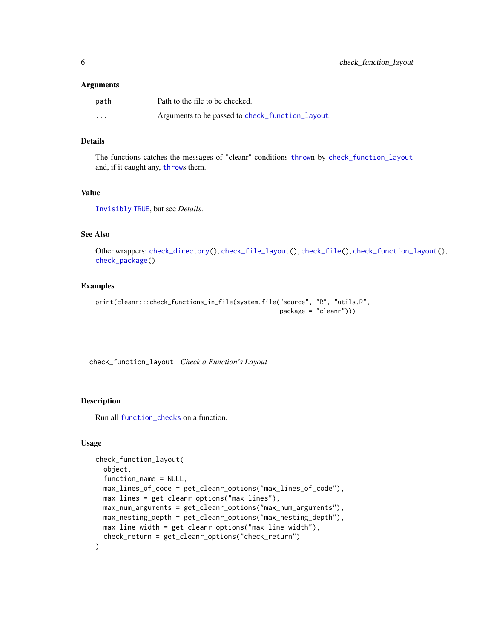#### <span id="page-5-0"></span>**Arguments**

| path     | Path to the file to be checked.                  |
|----------|--------------------------------------------------|
| $\cdots$ | Arguments to be passed to check_function_layout. |

#### Details

The functions catches the messages of "cleanr"-conditions [throw](#page-0-0)n by [check\\_function\\_layout](#page-5-1) and, if it caught any, [throw](#page-0-0)s them.

### Value

[Invisibly](#page-0-0) [TRUE](#page-0-0), but see *Details*.

# See Also

Other wrappers: [check\\_directory\(](#page-2-1)), [check\\_file\\_layout\(](#page-3-2)), [check\\_file\(](#page-3-1)), [check\\_function\\_layout\(](#page-5-1)), [check\\_package\(](#page-6-1))

#### Examples

```
print(cleanr:::check_functions_in_file(system.file("source", "R", "utils.R",
                                                   package = "cleanr")))
```
<span id="page-5-1"></span>check\_function\_layout *Check a Function's Layout*

# Description

Run all [function\\_checks](#page-8-1) on a function.

#### Usage

```
check_function_layout(
  object,
  function_name = NULL,
 max_lines_of_code = get_cleanr_options("max_lines_of_code"),
 max_lines = get_cleanr_options("max_lines"),
 max_num_arguments = get_cleanr_options("max_num_arguments"),
 max_nesting_depth = get_cleanr_options("max_nesting_depth"),
 max_line_width = get_cleanr_options("max_line_width"),
  check_return = get_cleanr_options("check_return")
)
```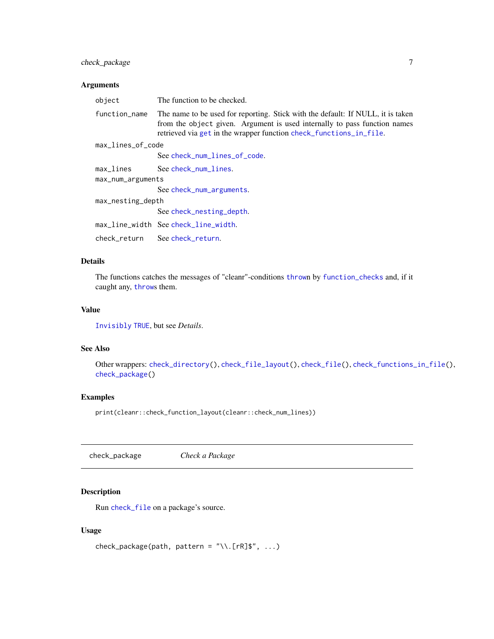# <span id="page-6-0"></span>check\_package 7

#### Arguments

| object            | The function to be checked.                                                                                                                                                                                                        |
|-------------------|------------------------------------------------------------------------------------------------------------------------------------------------------------------------------------------------------------------------------------|
| function_name     | The name to be used for reporting. Stick with the default: If NULL, it is taken<br>from the object given. Argument is used internally to pass function names<br>retrieved via get in the wrapper function check_functions_in_file. |
| max_lines_of_code |                                                                                                                                                                                                                                    |
|                   | See check_num_lines_of_code.                                                                                                                                                                                                       |
| max_lines         | See check_num_lines.                                                                                                                                                                                                               |
| max_num_arguments |                                                                                                                                                                                                                                    |
|                   | See check_num_arguments.                                                                                                                                                                                                           |
| max_nesting_depth |                                                                                                                                                                                                                                    |
|                   | See check_nesting_depth.                                                                                                                                                                                                           |
|                   | max_line_width See check_line_width.                                                                                                                                                                                               |
|                   | check_return See check_return.                                                                                                                                                                                                     |
|                   |                                                                                                                                                                                                                                    |

# Details

The functions catches the messages of "cleanr"-conditions [throw](#page-0-0)n by [function\\_checks](#page-8-1) and, if it caught any, [throw](#page-0-0)s them.

#### Value

[Invisibly](#page-0-0) [TRUE](#page-0-0), but see *Details*.

# See Also

Other wrappers: [check\\_directory\(](#page-2-1)), [check\\_file\\_layout\(](#page-3-2)), [check\\_file\(](#page-3-1)), [check\\_functions\\_in\\_file\(](#page-4-1)), [check\\_package\(](#page-6-1))

# Examples

print(cleanr::check\_function\_layout(cleanr::check\_num\_lines))

<span id="page-6-1"></span>check\_package *Check a Package*

# Description

Run [check\\_file](#page-3-1) on a package's source.

# Usage

```
check_package(path, pattern = "\\.[rR]$", ...)
```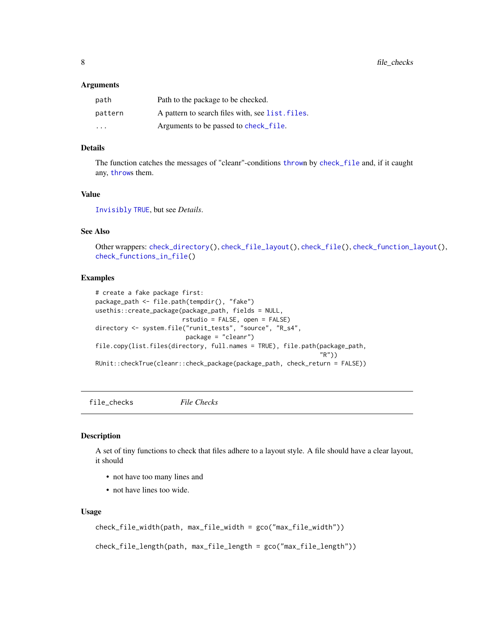#### <span id="page-7-0"></span>**Arguments**

| path                    | Path to the package to be checked.               |
|-------------------------|--------------------------------------------------|
| pattern                 | A pattern to search files with, see list. files. |
| $\cdot$ $\cdot$ $\cdot$ | Arguments to be passed to check_file.            |

# Details

The function catches the messages of "cleanr"-conditions [throw](#page-0-0)n by [check\\_file](#page-3-1) and, if it caught any, [throw](#page-0-0)s them.

#### Value

[Invisibly](#page-0-0) [TRUE](#page-0-0), but see *Details*.

# See Also

Other wrappers: [check\\_directory\(](#page-2-1)), [check\\_file\\_layout\(](#page-3-2)), [check\\_file\(](#page-3-1)), [check\\_function\\_layout\(](#page-5-1)), [check\\_functions\\_in\\_file\(](#page-4-1))

#### Examples

```
# create a fake package first:
package_path <- file.path(tempdir(), "fake")
usethis::create_package(package_path, fields = NULL,
                        rstudio = FALSE, open = FALSE)
directory <- system.file("runit_tests", "source", "R_s4",
                         package = "cleanr")
file.copy(list.files(directory, full.names = TRUE), file.path(package_path,
                                                               "R"))
RUnit::checkTrue(cleanr::check_package(package_path, check_return = FALSE))
```
<span id="page-7-1"></span>file\_checks *File Checks*

### <span id="page-7-2"></span>Description

A set of tiny functions to check that files adhere to a layout style. A file should have a clear layout, it should

- not have too many lines and
- not have lines too wide.

#### Usage

```
check_file_width(path, max_file_width = gco("max_file_width"))
```
check\_file\_length(path, max\_file\_length = gco("max\_file\_length"))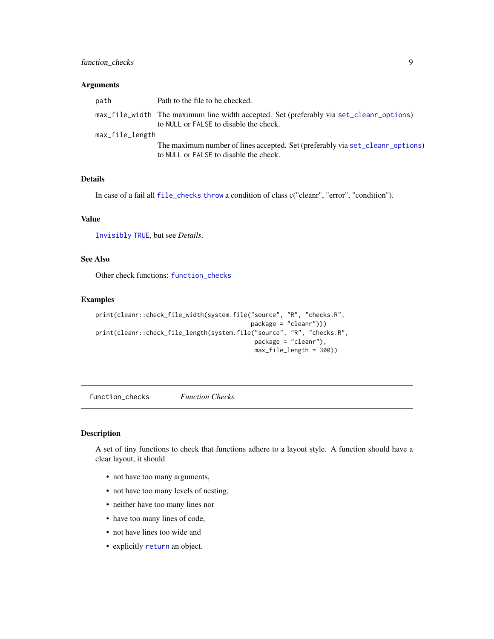# <span id="page-8-0"></span>function\_checks 9

#### Arguments

| path            | Path to the file to be checked.                                                                                                   |
|-----------------|-----------------------------------------------------------------------------------------------------------------------------------|
|                 | max_file_width The maximum line width accepted. Set (preferably via set_cleanr_options)<br>to NULL or FALSE to disable the check. |
| max_file_length |                                                                                                                                   |
|                 | The maximum number of lines accepted. Set (preferably via set_cleanr_options)<br>to NULL or FALSE to disable the check.           |

#### Details

In case of a fail all [file\\_checks](#page-7-1) [throw](#page-0-0) a condition of class c("cleanr", "error", "condition").

#### Value

[Invisibly](#page-0-0) [TRUE](#page-0-0), but see *Details*.

# See Also

Other check functions: [function\\_checks](#page-8-1)

#### Examples

```
print(cleanr::check_file_width(system.file("source", "R", "checks.R",
                                            package = "cleanr")))
print(cleanr::check_file_length(system.file("source", "R", "checks.R",
                                            package = "cleanr"),
                                            max_file_length = 300))
```
<span id="page-8-1"></span>function\_checks *Function Checks*

# <span id="page-8-2"></span>Description

A set of tiny functions to check that functions adhere to a layout style. A function should have a clear layout, it should

- not have too many arguments,
- not have too many levels of nesting,
- neither have too many lines nor
- have too many lines of code,
- not have lines too wide and
- explicitly [return](#page-0-0) an object.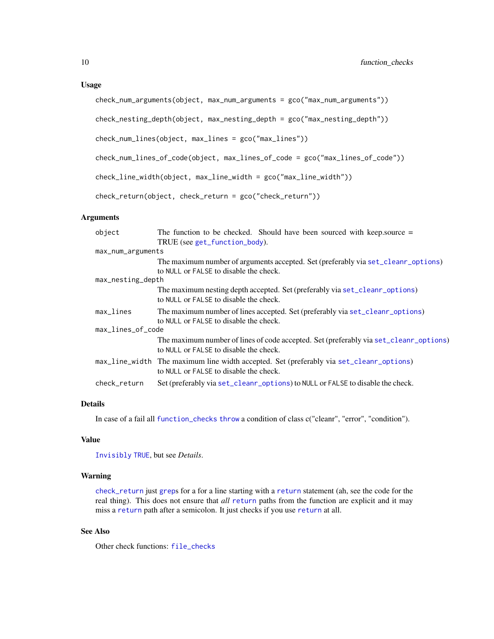#### <span id="page-9-0"></span>Usage

```
check_num_arguments(object, max_num_arguments = gco("max_num_arguments"))
```
check\_nesting\_depth(object, max\_nesting\_depth = gco("max\_nesting\_depth"))

```
check_num_lines(object, max_lines = gco("max_lines"))
```

```
check_num_lines_of_code(object, max_lines_of_code = gco("max_lines_of_code"))
```

```
check_line_width(object, max_line_width = gco("max_line_width"))
```
check\_return(object, check\_return = gco("check\_return"))

#### **Arguments**

| object                 | The function to be checked. Should have been sourced with keep source $=$               |
|------------------------|-----------------------------------------------------------------------------------------|
|                        | TRUE (see get_function_body).                                                           |
| max_num_arguments      |                                                                                         |
|                        | The maximum number of arguments accepted. Set (preferably via set_cleanr_options)       |
|                        | to NULL or FALSE to disable the check.                                                  |
| max_nesting_depth      |                                                                                         |
|                        | The maximum nesting depth accepted. Set (preferably via set_cleanr_options)             |
|                        | to NULL or FALSE to disable the check.                                                  |
| $max$ <sub>Lines</sub> | The maximum number of lines accepted. Set (preferably via set_cleanr_options)           |
|                        | to NULL or FALSE to disable the check.                                                  |
| max_lines_of_code      |                                                                                         |
|                        | The maximum number of lines of code accepted. Set (preferably via set_cleanr_options)   |
|                        | to NULL or FALSE to disable the check.                                                  |
|                        | max_line_width The maximum line width accepted. Set (preferably via set_cleanr_options) |
|                        | to NULL or FALSE to disable the check.                                                  |
| check_return           | Set (preferably via set_cleanr_options) to NULL or FALSE to disable the check.          |

# Details

In case of a fail all [function\\_checks](#page-8-1) [throw](#page-0-0) a condition of class c("cleanr", "error", "condition").

# Value

[Invisibly](#page-0-0) [TRUE](#page-0-0), but see *Details*.

# Warning

[check\\_return](#page-8-2) just [grep](#page-0-0)s for a for a line starting with a [return](#page-0-0) statement (ah, see the code for the real thing). This does not ensure that *all* [return](#page-0-0) paths from the function are explicit and it may miss a [return](#page-0-0) path after a semicolon. It just checks if you use [return](#page-0-0) at all.

# See Also

Other check functions: [file\\_checks](#page-7-1)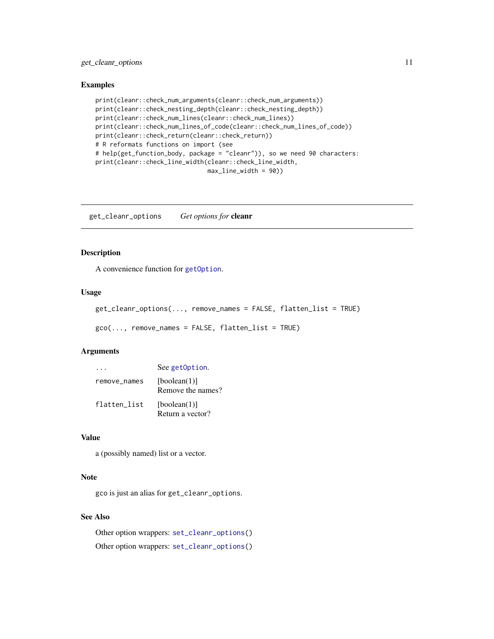# <span id="page-10-0"></span>get\_cleanr\_options 11

#### Examples

```
print(cleanr::check_num_arguments(cleanr::check_num_arguments))
print(cleanr::check_nesting_depth(cleanr::check_nesting_depth))
print(cleanr::check_num_lines(cleanr::check_num_lines))
print(cleanr::check_num_lines_of_code(cleanr::check_num_lines_of_code))
print(cleanr::check_return(cleanr::check_return))
# R reformats functions on import (see
# help(get_function_body, package = "cleanr")), so we need 90 characters:
print(cleanr::check_line_width(cleanr::check_line_width,
                               max_line_width = 90))
```
<span id="page-10-1"></span>get\_cleanr\_options *Get options for* cleanr

# Description

A convenience function for [getOption](#page-0-0).

### Usage

```
get_cleanr_options(..., remove_names = FALSE, flatten_list = TRUE)
geo(..., remove_names = FALSE, flatten_list = TRUE)
```
#### Arguments

|              | See getOption.                    |
|--------------|-----------------------------------|
| remove_names | [boolean(1)]<br>Remove the names? |
| flatten_list | [boolean(1)]<br>Return a vector?  |

### Value

a (possibly named) list or a vector.

#### Note

gco is just an alias for get\_cleanr\_options.

# See Also

Other option wrappers: [set\\_cleanr\\_options\(](#page-11-1)) Other option wrappers: [set\\_cleanr\\_options\(](#page-11-1))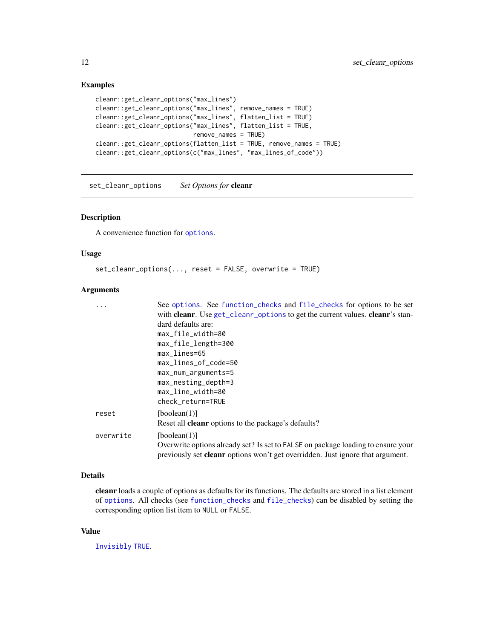#### Examples

```
cleanr::get_cleanr_options("max_lines")
cleanr::get_cleanr_options("max_lines", remove_names = TRUE)
cleanr::get_cleanr_options("max_lines", flatten_list = TRUE)
cleanr::get_cleanr_options("max_lines", flatten_list = TRUE,
                           remove_names = TRUE)
cleanr::get_cleanr_options(flatten_list = TRUE, remove_names = TRUE)
cleanr::get_cleanr_options(c("max_lines", "max_lines_of_code"))
```
<span id="page-11-1"></span>set\_cleanr\_options *Set Options for* cleanr

# Description

A convenience function for [options](#page-0-0).

# Usage

```
set_cleanr_options(..., reset = FALSE, overwrite = TRUE)
```
#### Arguments

|           | See options. See function_checks and file_checks for options to be set                |
|-----------|---------------------------------------------------------------------------------------|
|           | with cleanr. Use get_cleanr_options to get the current values. cleanr's stan-         |
|           | dard defaults are:                                                                    |
|           | max_file_width=80                                                                     |
|           | max_file_length=300                                                                   |
|           | $max$ <sub>Lines=65</sub>                                                             |
|           | max_lines_of_code=50                                                                  |
|           | max_num_arguments=5                                                                   |
|           | $max\_nesting\_depth=3$                                                               |
|           | max_line_width=80                                                                     |
|           | check_return=TRUE                                                                     |
| reset     | [boolean(1)]                                                                          |
|           | Reset all <b>cleanr</b> options to the package's defaults?                            |
| overwrite | [boolean(1)]                                                                          |
|           | Overwrite options already set? Is set to FALSE on package loading to ensure your      |
|           | previously set <b>cleanr</b> options won't get overridden. Just ignore that argument. |

#### Details

cleanr loads a couple of options as defaults for its functions. The defaults are stored in a list element of [options](#page-0-0). All checks (see [function\\_checks](#page-8-1) and [file\\_checks](#page-7-1)) can be disabled by setting the corresponding option list item to NULL or FALSE.

#### Value

[Invisibly](#page-0-0) [TRUE](#page-0-0).

<span id="page-11-0"></span>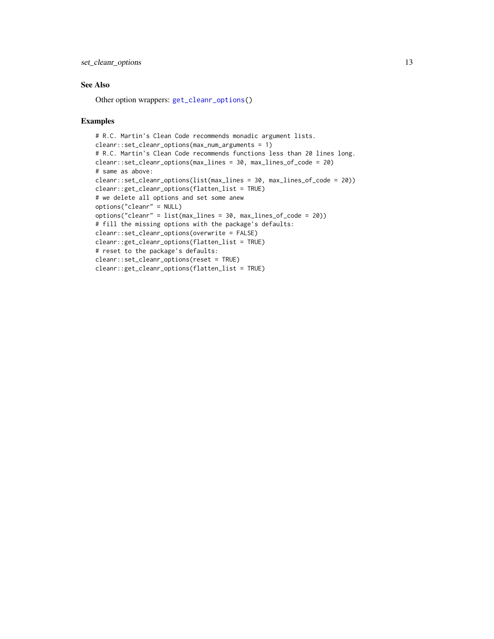### <span id="page-12-0"></span>See Also

Other option wrappers: [get\\_cleanr\\_options\(](#page-10-1))

#### Examples

```
# R.C. Martin's Clean Code recommends monadic argument lists.
cleanr::set_cleanr_options(max_num_arguments = 1)
# R.C. Martin's Clean Code recommends functions less than 20 lines long.
cleanr::set_cleanr_options(max_lines = 30, max_lines_of_code = 20)
# same as above:
cleanr::set_cleanr_options(list(max_lines = 30, max_lines_of_code = 20))
cleanr::get_cleanr_options(flatten_list = TRUE)
# we delete all options and set some anew
options("cleanr" = NULL)
options("cleanr" = list(max_lines = 30, max_lines_of_code = 20))
# fill the missing options with the package's defaults:
cleanr::set_cleanr_options(overwrite = FALSE)
cleanr::get_cleanr_options(flatten_list = TRUE)
# reset to the package's defaults:
cleanr::set_cleanr_options(reset = TRUE)
cleanr::get_cleanr_options(flatten_list = TRUE)
```